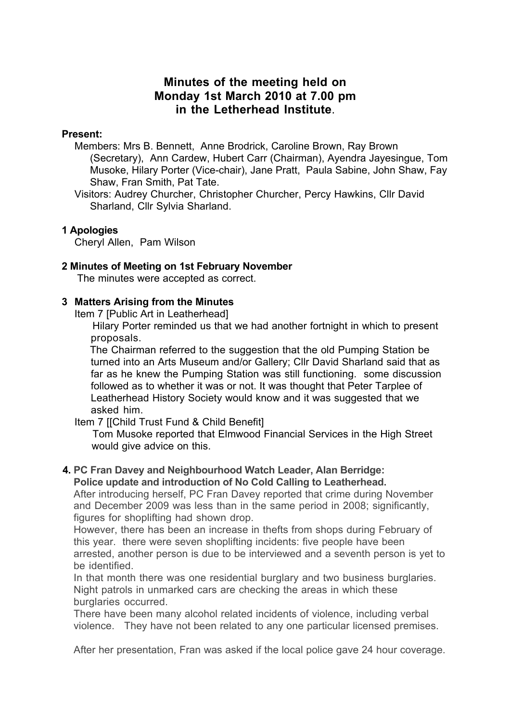# **Minutes of the meeting held on Monday 1st March 2010 at 7.00 pm in the Letherhead Institute**.

### **Present:**

Members: Mrs B. Bennett, Anne Brodrick, Caroline Brown, Ray Brown (Secretary), Ann Cardew, Hubert Carr (Chairman), Ayendra Jayesingue, Tom Musoke, Hilary Porter (Vice-chair), Jane Pratt, Paula Sabine, John Shaw, Fay Shaw, Fran Smith, Pat Tate.

Visitors: Audrey Churcher, Christopher Churcher, Percy Hawkins, Cllr David Sharland, Cllr Sylvia Sharland.

# **1 Apologies**

Cheryl Allen, Pam Wilson

# **2 Minutes of Meeting on 1st February November**

The minutes were accepted as correct.

# **3 Matters Arising from the Minutes**

Item 7 [Public Art in Leatherhead]

Hilary Porter reminded us that we had another fortnight in which to present proposals.

The Chairman referred to the suggestion that the old Pumping Station be turned into an Arts Museum and/or Gallery; Cllr David Sharland said that as far as he knew the Pumping Station was still functioning. some discussion followed as to whether it was or not. It was thought that Peter Tarplee of Leatherhead History Society would know and it was suggested that we asked him.

Item 7 [[Child Trust Fund & Child Benefit]

Tom Musoke reported that Elmwood Financial Services in the High Street would give advice on this.

#### **4. PC Fran Davey and Neighbourhood Watch Leader, Alan Berridge: Police update and introduction of No Cold Calling to Leatherhead.**

After introducing herself, PC Fran Davey reported that crime during November and December 2009 was less than in the same period in 2008; significantly, figures for shoplifting had shown drop.

However, there has been an increase in thefts from shops during February of this year. there were seven shoplifting incidents: five people have been arrested, another person is due to be interviewed and a seventh person is yet to be identified.

In that month there was one residential burglary and two business burglaries. Night patrols in unmarked cars are checking the areas in which these burglaries occurred.

There have been many alcohol related incidents of violence, including verbal violence. They have not been related to any one particular licensed premises.

After her presentation, Fran was asked if the local police gave 24 hour coverage.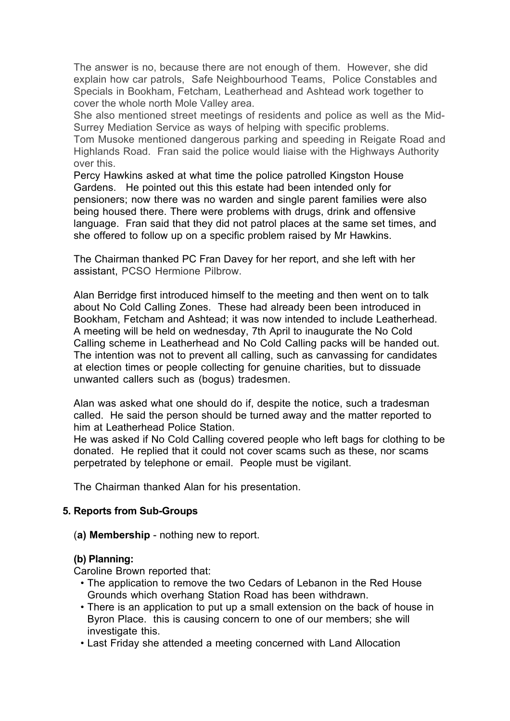The answer is no, because there are not enough of them. However, she did explain how car patrols, Safe Neighbourhood Teams, Police Constables and Specials in Bookham, Fetcham, Leatherhead and Ashtead work together to cover the whole north Mole Valley area.

She also mentioned street meetings of residents and police as well as the Mid-Surrey Mediation Service as ways of helping with specific problems.

Tom Musoke mentioned dangerous parking and speeding in Reigate Road and Highlands Road. Fran said the police would liaise with the Highways Authority over this.

Percy Hawkins asked at what time the police patrolled Kingston House Gardens. He pointed out this this estate had been intended only for pensioners; now there was no warden and single parent families were also being housed there. There were problems with drugs, drink and offensive language. Fran said that they did not patrol places at the same set times, and she offered to follow up on a specific problem raised by Mr Hawkins.

The Chairman thanked PC Fran Davey for her report, and she left with her assistant, PCSO Hermione Pilbrow.

Alan Berridge first introduced himself to the meeting and then went on to talk about No Cold Calling Zones. These had already been been introduced in Bookham, Fetcham and Ashtead; it was now intended to include Leatherhead. A meeting will be held on wednesday, 7th April to inaugurate the No Cold Calling scheme in Leatherhead and No Cold Calling packs will be handed out. The intention was not to prevent all calling, such as canvassing for candidates at election times or people collecting for genuine charities, but to dissuade unwanted callers such as (bogus) tradesmen.

Alan was asked what one should do if, despite the notice, such a tradesman called. He said the person should be turned away and the matter reported to him at Leatherhead Police Station.

He was asked if No Cold Calling covered people who left bags for clothing to be donated. He replied that it could not cover scams such as these, nor scams perpetrated by telephone or email. People must be vigilant.

The Chairman thanked Alan for his presentation.

#### **5. Reports from Sub-Groups**

(**a) Membership** - nothing new to report.

#### **(b) Planning:**

Caroline Brown reported that:

- The application to remove the two Cedars of Lebanon in the Red House Grounds which overhang Station Road has been withdrawn.
- There is an application to put up a small extension on the back of house in Byron Place. this is causing concern to one of our members; she will investigate this.
- Last Friday she attended a meeting concerned with Land Allocation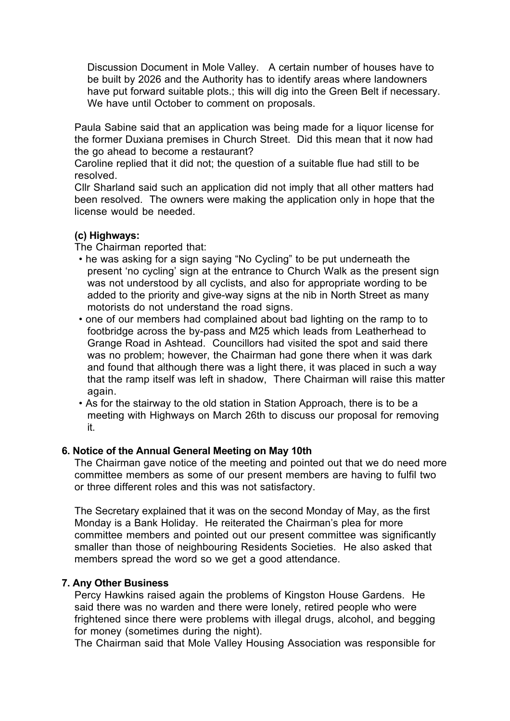Discussion Document in Mole Valley. A certain number of houses have to be built by 2026 and the Authority has to identify areas where landowners have put forward suitable plots.; this will dig into the Green Belt if necessary. We have until October to comment on proposals.

Paula Sabine said that an application was being made for a liquor license for the former Duxiana premises in Church Street. Did this mean that it now had the go ahead to become a restaurant?

Caroline replied that it did not; the question of a suitable flue had still to be resolved.

Cllr Sharland said such an application did not imply that all other matters had been resolved. The owners were making the application only in hope that the license would be needed.

#### **(c) Highways:**

The Chairman reported that:

- he was asking for a sign saying "No Cycling" to be put underneath the present 'no cycling' sign at the entrance to Church Walk as the present sign was not understood by all cyclists, and also for appropriate wording to be added to the priority and give-way signs at the nib in North Street as many motorists do not understand the road signs.
- one of our members had complained about bad lighting on the ramp to to footbridge across the by-pass and M25 which leads from Leatherhead to Grange Road in Ashtead. Councillors had visited the spot and said there was no problem; however, the Chairman had gone there when it was dark and found that although there was a light there, it was placed in such a way that the ramp itself was left in shadow, There Chairman will raise this matter again.
- As for the stairway to the old station in Station Approach, there is to be a meeting with Highways on March 26th to discuss our proposal for removing it.

#### **6. Notice of the Annual General Meeting on May 10th**

The Chairman gave notice of the meeting and pointed out that we do need more committee members as some of our present members are having to fulfil two or three different roles and this was not satisfactory.

The Secretary explained that it was on the second Monday of May, as the first Monday is a Bank Holiday. He reiterated the Chairman's plea for more committee members and pointed out our present committee was significantly smaller than those of neighbouring Residents Societies. He also asked that members spread the word so we get a good attendance.

#### **7. Any Other Business**

Percy Hawkins raised again the problems of Kingston House Gardens. He said there was no warden and there were lonely, retired people who were frightened since there were problems with illegal drugs, alcohol, and begging for money (sometimes during the night).

The Chairman said that Mole Valley Housing Association was responsible for